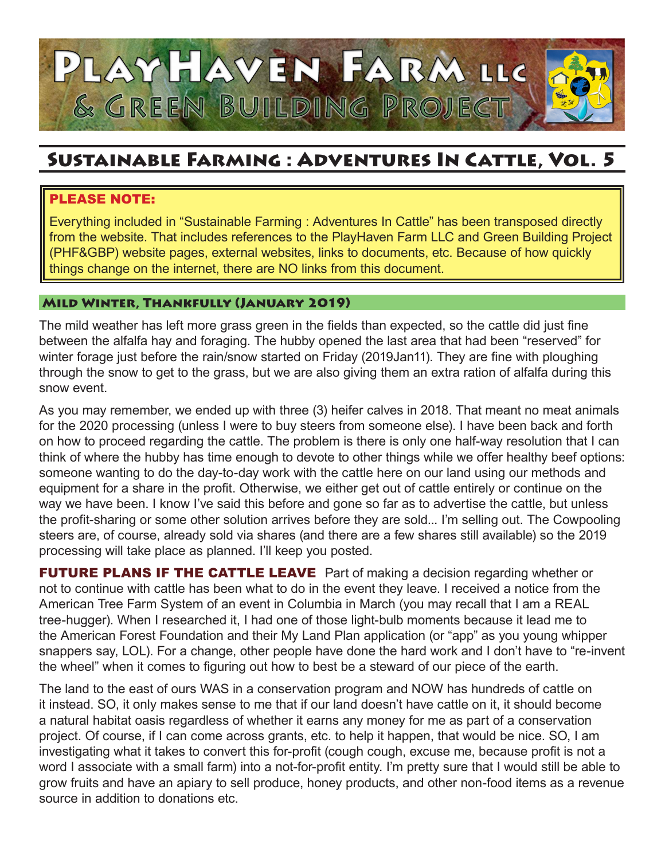

# Sustainable Farming : Adventures In Cattle, Vol. 5

# PLEASE NOTE:

Everything included in "Sustainable Farming : Adventures In Cattle" has been transposed directly from the website. That includes references to the PlayHaven Farm LLC and Green Building Project (PHF&GBP) website pages, external websites, links to documents, etc. Because of how quickly things change on the internet, there are NO links from this document.

## Mild Winter, Thankfully (January 2019)

The mild weather has left more grass green in the fields than expected, so the cattle did just fine between the alfalfa hay and foraging. The hubby opened the last area that had been "reserved" for winter forage just before the rain/snow started on Friday (2019Jan11). They are fine with ploughing through the snow to get to the grass, but we are also giving them an extra ration of alfalfa during this snow event.

As you may remember, we ended up with three (3) heifer calves in 2018. That meant no meat animals for the 2020 processing (unless I were to buy steers from someone else). I have been back and forth on how to proceed regarding the cattle. The problem is there is only one half-way resolution that I can think of where the hubby has time enough to devote to other things while we offer healthy beef options: someone wanting to do the day-to-day work with the cattle here on our land using our methods and equipment for a share in the profit. Otherwise, we either get out of cattle entirely or continue on the way we have been. I know I've said this before and gone so far as to advertise the cattle, but unless the profit-sharing or some other solution arrives before they are sold... I'm selling out. The Cowpooling steers are, of course, already sold via shares (and there are a few shares still available) so the 2019 processing will take place as planned. I'll keep you posted.

FUTURE PLANS IF THE CATTLE LEAVE Part of making a decision regarding whether or not to continue with cattle has been what to do in the event they leave. I received a notice from the American Tree Farm System of an event in Columbia in March (you may recall that I am a REAL tree-hugger). When I researched it, I had one of those light-bulb moments because it lead me to the American Forest Foundation and their My Land Plan application (or "app" as you young whipper snappers say, LOL). For a change, other people have done the hard work and I don't have to "re-invent the wheel" when it comes to figuring out how to best be a steward of our piece of the earth.

The land to the east of ours WAS in a conservation program and NOW has hundreds of cattle on it instead. SO, it only makes sense to me that if our land doesn't have cattle on it, it should become a natural habitat oasis regardless of whether it earns any money for me as part of a conservation project. Of course, if I can come across grants, etc. to help it happen, that would be nice. SO, I am investigating what it takes to convert this for-profit (cough cough, excuse me, because profit is not a word I associate with a small farm) into a not-for-profit entity. I'm pretty sure that I would still be able to grow fruits and have an apiary to sell produce, honey products, and other non-food items as a revenue source in addition to donations etc.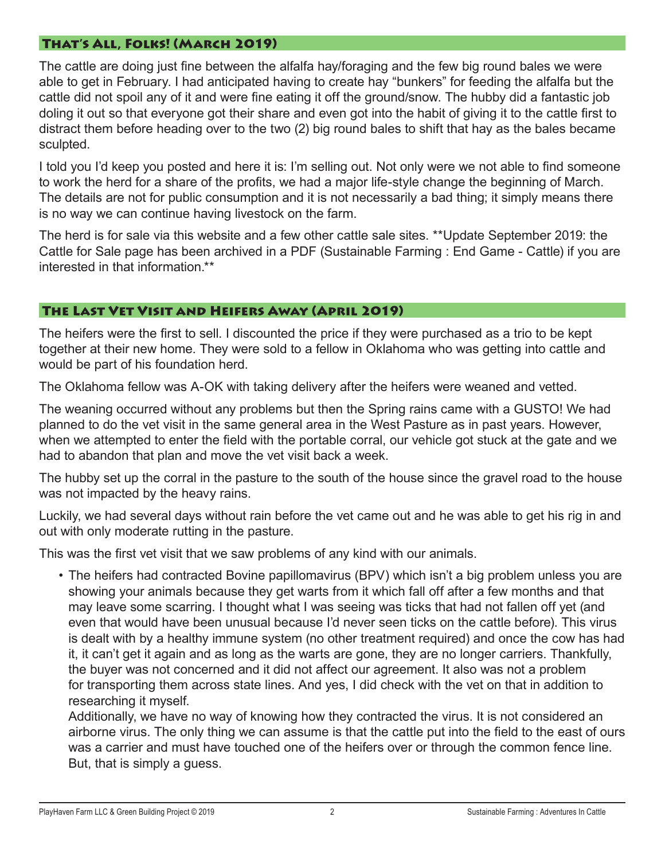## That's All, Folks! (March 2019)

The cattle are doing just fine between the alfalfa hay/foraging and the few big round bales we were able to get in February. I had anticipated having to create hay "bunkers" for feeding the alfalfa but the cattle did not spoil any of it and were fine eating it off the ground/snow. The hubby did a fantastic job doling it out so that everyone got their share and even got into the habit of giving it to the cattle first to distract them before heading over to the two (2) big round bales to shift that hay as the bales became sculpted.

I told you I'd keep you posted and here it is: I'm selling out. Not only were we not able to find someone to work the herd for a share of the profits, we had a major life-style change the beginning of March. The details are not for public consumption and it is not necessarily a bad thing; it simply means there is no way we can continue having livestock on the farm.

The herd is for sale via this website and a few other cattle sale sites. \*\*Update September 2019: the Cattle for Sale page has been archived in a PDF (Sustainable Farming : End Game - Cattle) if you are interested in that information.\*\*

## The Last Vet Visit and Heifers Away (April 2019)

The heifers were the first to sell. I discounted the price if they were purchased as a trio to be kept together at their new home. They were sold to a fellow in Oklahoma who was getting into cattle and would be part of his foundation herd.

The Oklahoma fellow was A-OK with taking delivery after the heifers were weaned and vetted.

The weaning occurred without any problems but then the Spring rains came with a GUSTO! We had planned to do the vet visit in the same general area in the West Pasture as in past years. However, when we attempted to enter the field with the portable corral, our vehicle got stuck at the gate and we had to abandon that plan and move the vet visit back a week.

The hubby set up the corral in the pasture to the south of the house since the gravel road to the house was not impacted by the heavy rains.

Luckily, we had several days without rain before the vet came out and he was able to get his rig in and out with only moderate rutting in the pasture.

This was the first vet visit that we saw problems of any kind with our animals.

• The heifers had contracted Bovine papillomavirus (BPV) which isn't a big problem unless you are showing your animals because they get warts from it which fall off after a few months and that may leave some scarring. I thought what I was seeing was ticks that had not fallen off yet (and even that would have been unusual because I'd never seen ticks on the cattle before). This virus is dealt with by a healthy immune system (no other treatment required) and once the cow has had it, it can't get it again and as long as the warts are gone, they are no longer carriers. Thankfully, the buyer was not concerned and it did not affect our agreement. It also was not a problem for transporting them across state lines. And yes, I did check with the vet on that in addition to researching it myself.

Additionally, we have no way of knowing how they contracted the virus. It is not considered an airborne virus. The only thing we can assume is that the cattle put into the field to the east of ours was a carrier and must have touched one of the heifers over or through the common fence line. But, that is simply a guess.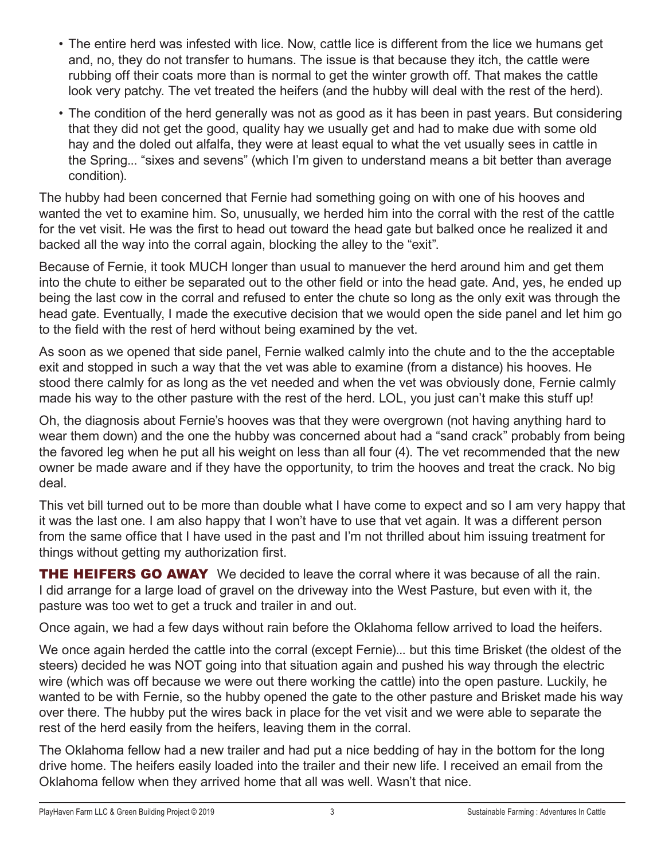- The entire herd was infested with lice. Now, cattle lice is different from the lice we humans get and, no, they do not transfer to humans. The issue is that because they itch, the cattle were rubbing off their coats more than is normal to get the winter growth off. That makes the cattle look very patchy. The vet treated the heifers (and the hubby will deal with the rest of the herd).
- The condition of the herd generally was not as good as it has been in past years. But considering that they did not get the good, quality hay we usually get and had to make due with some old hay and the doled out alfalfa, they were at least equal to what the vet usually sees in cattle in the Spring... "sixes and sevens" (which I'm given to understand means a bit better than average condition).

The hubby had been concerned that Fernie had something going on with one of his hooves and wanted the vet to examine him. So, unusually, we herded him into the corral with the rest of the cattle for the vet visit. He was the first to head out toward the head gate but balked once he realized it and backed all the way into the corral again, blocking the alley to the "exit".

Because of Fernie, it took MUCH longer than usual to manuever the herd around him and get them into the chute to either be separated out to the other field or into the head gate. And, yes, he ended up being the last cow in the corral and refused to enter the chute so long as the only exit was through the head gate. Eventually, I made the executive decision that we would open the side panel and let him go to the field with the rest of herd without being examined by the vet.

As soon as we opened that side panel, Fernie walked calmly into the chute and to the the acceptable exit and stopped in such a way that the vet was able to examine (from a distance) his hooves. He stood there calmly for as long as the vet needed and when the vet was obviously done, Fernie calmly made his way to the other pasture with the rest of the herd. LOL, you just can't make this stuff up!

Oh, the diagnosis about Fernie's hooves was that they were overgrown (not having anything hard to wear them down) and the one the hubby was concerned about had a "sand crack" probably from being the favored leg when he put all his weight on less than all four (4). The vet recommended that the new owner be made aware and if they have the opportunity, to trim the hooves and treat the crack. No big deal.

This vet bill turned out to be more than double what I have come to expect and so I am very happy that it was the last one. I am also happy that I won't have to use that vet again. It was a different person from the same office that I have used in the past and I'm not thrilled about him issuing treatment for things without getting my authorization first.

**THE HEIFERS GO AWAY** We decided to leave the corral where it was because of all the rain. I did arrange for a large load of gravel on the driveway into the West Pasture, but even with it, the pasture was too wet to get a truck and trailer in and out.

Once again, we had a few days without rain before the Oklahoma fellow arrived to load the heifers.

We once again herded the cattle into the corral (except Fernie)... but this time Brisket (the oldest of the steers) decided he was NOT going into that situation again and pushed his way through the electric wire (which was off because we were out there working the cattle) into the open pasture. Luckily, he wanted to be with Fernie, so the hubby opened the gate to the other pasture and Brisket made his way over there. The hubby put the wires back in place for the vet visit and we were able to separate the rest of the herd easily from the heifers, leaving them in the corral.

The Oklahoma fellow had a new trailer and had put a nice bedding of hay in the bottom for the long drive home. The heifers easily loaded into the trailer and their new life. I received an email from the Oklahoma fellow when they arrived home that all was well. Wasn't that nice.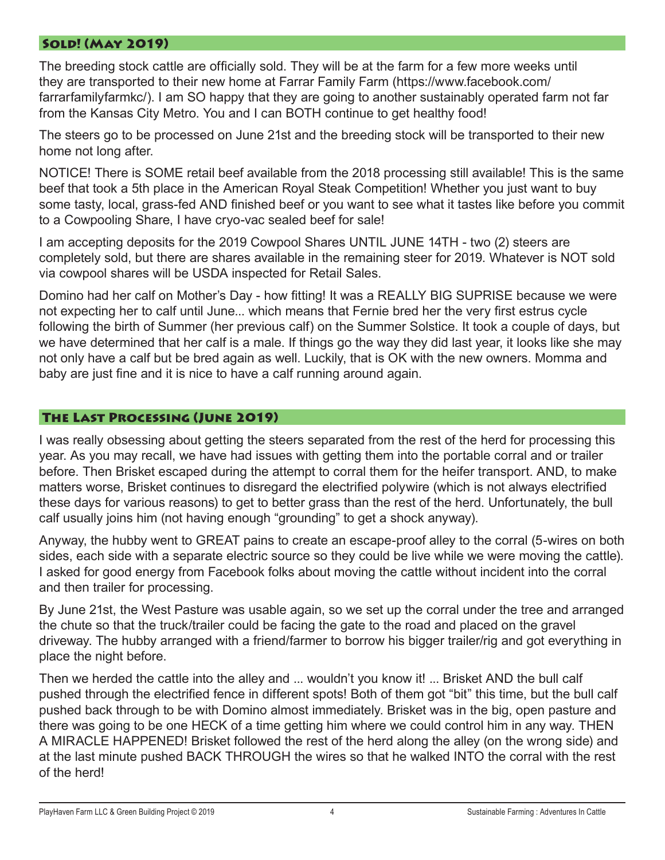#### Sold! (May 2019)

The breeding stock cattle are officially sold. They will be at the farm for a few more weeks until they are transported to their new home at Farrar Family Farm (https://www.facebook.com/ farrarfamilyfarmkc/). I am SO happy that they are going to another sustainably operated farm not far from the Kansas City Metro. You and I can BOTH continue to get healthy food!

The steers go to be processed on June 21st and the breeding stock will be transported to their new home not long after.

NOTICE! There is SOME retail beef available from the 2018 processing still available! This is the same beef that took a 5th place in the American Royal Steak Competition! Whether you just want to buy some tasty, local, grass-fed AND finished beef or you want to see what it tastes like before you commit to a Cowpooling Share, I have cryo-vac sealed beef for sale!

I am accepting deposits for the 2019 Cowpool Shares UNTIL JUNE 14TH - two (2) steers are completely sold, but there are shares available in the remaining steer for 2019. Whatever is NOT sold via cowpool shares will be USDA inspected for Retail Sales.

Domino had her calf on Mother's Day - how fitting! It was a REALLY BIG SUPRISE because we were not expecting her to calf until June... which means that Fernie bred her the very first estrus cycle following the birth of Summer (her previous calf) on the Summer Solstice. It took a couple of days, but we have determined that her calf is a male. If things go the way they did last year, it looks like she may not only have a calf but be bred again as well. Luckily, that is OK with the new owners. Momma and baby are just fine and it is nice to have a calf running around again.

## The Last Processing (June 2019)

I was really obsessing about getting the steers separated from the rest of the herd for processing this year. As you may recall, we have had issues with getting them into the portable corral and or trailer before. Then Brisket escaped during the attempt to corral them for the heifer transport. AND, to make matters worse, Brisket continues to disregard the electrified polywire (which is not always electrified these days for various reasons) to get to better grass than the rest of the herd. Unfortunately, the bull calf usually joins him (not having enough "grounding" to get a shock anyway).

Anyway, the hubby went to GREAT pains to create an escape-proof alley to the corral (5-wires on both sides, each side with a separate electric source so they could be live while we were moving the cattle). I asked for good energy from Facebook folks about moving the cattle without incident into the corral and then trailer for processing.

By June 21st, the West Pasture was usable again, so we set up the corral under the tree and arranged the chute so that the truck/trailer could be facing the gate to the road and placed on the gravel driveway. The hubby arranged with a friend/farmer to borrow his bigger trailer/rig and got everything in place the night before.

Then we herded the cattle into the alley and ... wouldn't you know it! ... Brisket AND the bull calf pushed through the electrified fence in different spots! Both of them got "bit" this time, but the bull calf pushed back through to be with Domino almost immediately. Brisket was in the big, open pasture and there was going to be one HECK of a time getting him where we could control him in any way. THEN A MIRACLE HAPPENED! Brisket followed the rest of the herd along the alley (on the wrong side) and at the last minute pushed BACK THROUGH the wires so that he walked INTO the corral with the rest of the herd!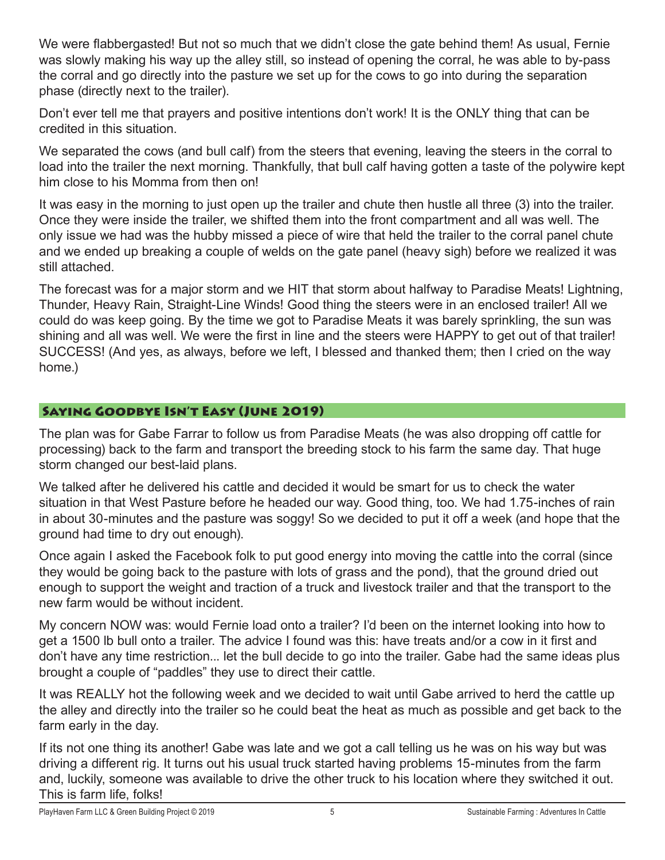We were flabbergasted! But not so much that we didn't close the gate behind them! As usual, Fernie was slowly making his way up the alley still, so instead of opening the corral, he was able to by-pass the corral and go directly into the pasture we set up for the cows to go into during the separation phase (directly next to the trailer).

Don't ever tell me that prayers and positive intentions don't work! It is the ONLY thing that can be credited in this situation.

We separated the cows (and bull calf) from the steers that evening, leaving the steers in the corral to load into the trailer the next morning. Thankfully, that bull calf having gotten a taste of the polywire kept him close to his Momma from then on!

It was easy in the morning to just open up the trailer and chute then hustle all three (3) into the trailer. Once they were inside the trailer, we shifted them into the front compartment and all was well. The only issue we had was the hubby missed a piece of wire that held the trailer to the corral panel chute and we ended up breaking a couple of welds on the gate panel (heavy sigh) before we realized it was still attached.

The forecast was for a major storm and we HIT that storm about halfway to Paradise Meats! Lightning, Thunder, Heavy Rain, Straight-Line Winds! Good thing the steers were in an enclosed trailer! All we could do was keep going. By the time we got to Paradise Meats it was barely sprinkling, the sun was shining and all was well. We were the first in line and the steers were HAPPY to get out of that trailer! SUCCESS! (And yes, as always, before we left, I blessed and thanked them; then I cried on the way home.)

# Saying Goodbye Isn't Easy (June 2019)

The plan was for Gabe Farrar to follow us from Paradise Meats (he was also dropping off cattle for processing) back to the farm and transport the breeding stock to his farm the same day. That huge storm changed our best-laid plans.

We talked after he delivered his cattle and decided it would be smart for us to check the water situation in that West Pasture before he headed our way. Good thing, too. We had 1.75-inches of rain in about 30-minutes and the pasture was soggy! So we decided to put it off a week (and hope that the ground had time to dry out enough).

Once again I asked the Facebook folk to put good energy into moving the cattle into the corral (since they would be going back to the pasture with lots of grass and the pond), that the ground dried out enough to support the weight and traction of a truck and livestock trailer and that the transport to the new farm would be without incident.

My concern NOW was: would Fernie load onto a trailer? I'd been on the internet looking into how to get a 1500 lb bull onto a trailer. The advice I found was this: have treats and/or a cow in it first and don't have any time restriction... let the bull decide to go into the trailer. Gabe had the same ideas plus brought a couple of "paddles" they use to direct their cattle.

It was REALLY hot the following week and we decided to wait until Gabe arrived to herd the cattle up the alley and directly into the trailer so he could beat the heat as much as possible and get back to the farm early in the day.

If its not one thing its another! Gabe was late and we got a call telling us he was on his way but was driving a different rig. It turns out his usual truck started having problems 15-minutes from the farm and, luckily, someone was available to drive the other truck to his location where they switched it out. This is farm life, folks!